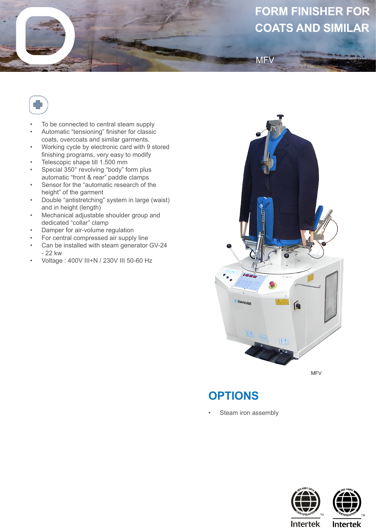## **FORM FINISHER FOR COATS AND SIMILAR**



- To be connected to central steam supply
- Automatic "tensioning" finisher for classic coats, overcoats and similar garments.
- Working cycle by electronic card with 9 stored finishing programs, very easy to modify
- Telescopic shape till 1.500 mm
- Special 350° revolving "body" form plus automatic "front & rear" paddle clamps
- Sensor for the "automatic research of the height" of the garment
- Double "antistretching" system in large (waist) and in height (length)
- Mechanical adjustable shoulder group and dedicated "collar" clamp
- Damper for air-volume regulation
- For central compressed air supply line
- Can be installed with steam generator GV-24 - 22 kw
- Voltage : 400V III+N / 230V III 50-60 Hz



**MFV** 

MFV

## **OPTIONS**

Steam iron assembly